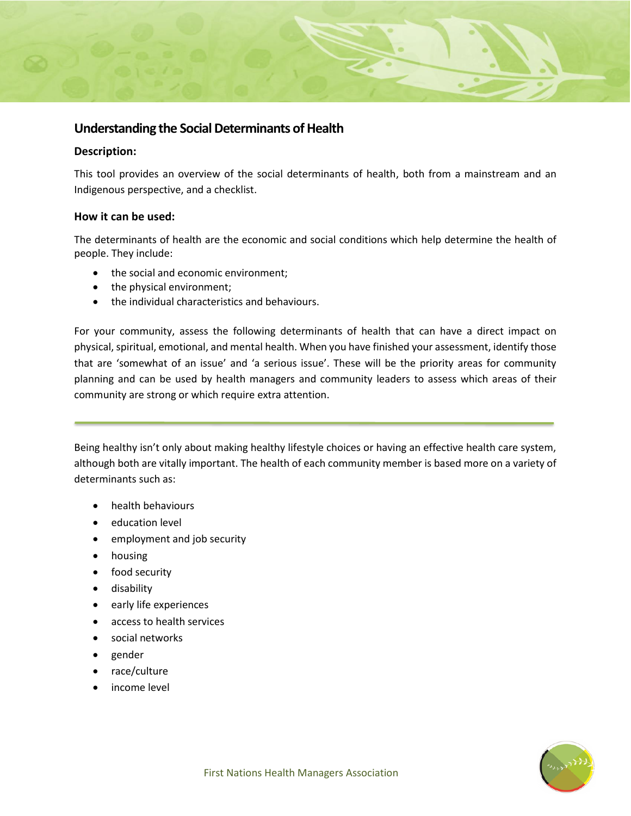## **Understanding the Social Determinants of Health**

## **Description:**

This tool provides an overview of the social determinants of health, both from a mainstream and an Indigenous perspective, and a checklist.

## **How it can be used:**

The determinants of health are the economic and social conditions which help determine the health of people. They include:

- the social and economic environment;
- the physical environment;
- the individual characteristics and behaviours.

For your community, assess the following determinants of health that can have a direct impact on physical, spiritual, emotional, and mental health. When you have finished your assessment, identify those that are 'somewhat of an issue' and 'a serious issue'. These will be the priority areas for community planning and can be used by health managers and community leaders to assess which areas of their community are strong or which require extra attention.

Being healthy isn't only about making healthy lifestyle choices or having an effective health care system, although both are vitally important. The health of each community member is based more on a variety of determinants such as:

- health behaviours
- education level
- employment and job security
- housing
- food security
- disability
- early life experiences
- access to health services
- social networks
- gender
- race/culture
- income level

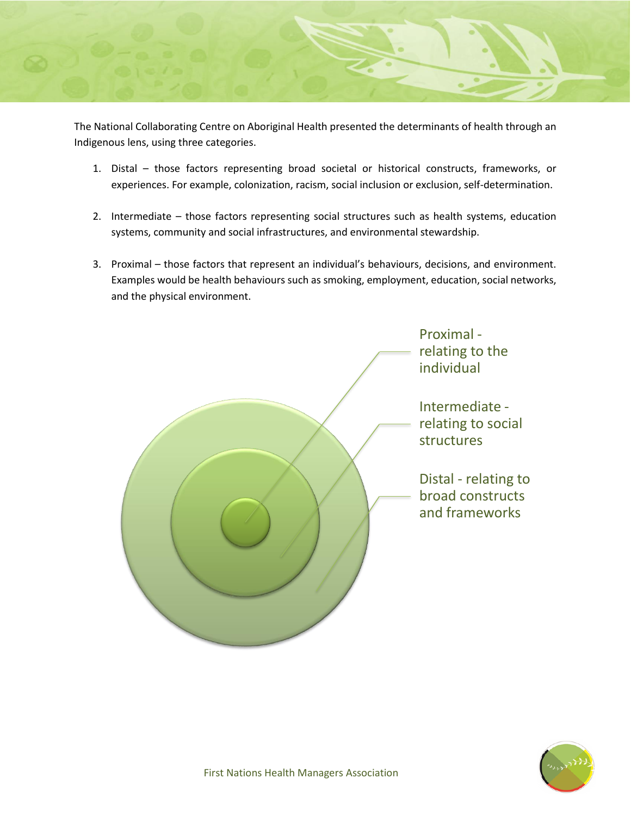

The National Collaborating Centre on Aboriginal Health presented the determinants of health through an Indigenous lens, using three categories.

- 1. Distal those factors representing broad societal or historical constructs, frameworks, or experiences. For example, colonization, racism, social inclusion or exclusion, self-determination.
- 2. Intermediate those factors representing social structures such as health systems, education systems, community and social infrastructures, and environmental stewardship.
- 3. Proximal those factors that represent an individual's behaviours, decisions, and environment. Examples would be health behaviours such as smoking, employment, education, social networks, and the physical environment.



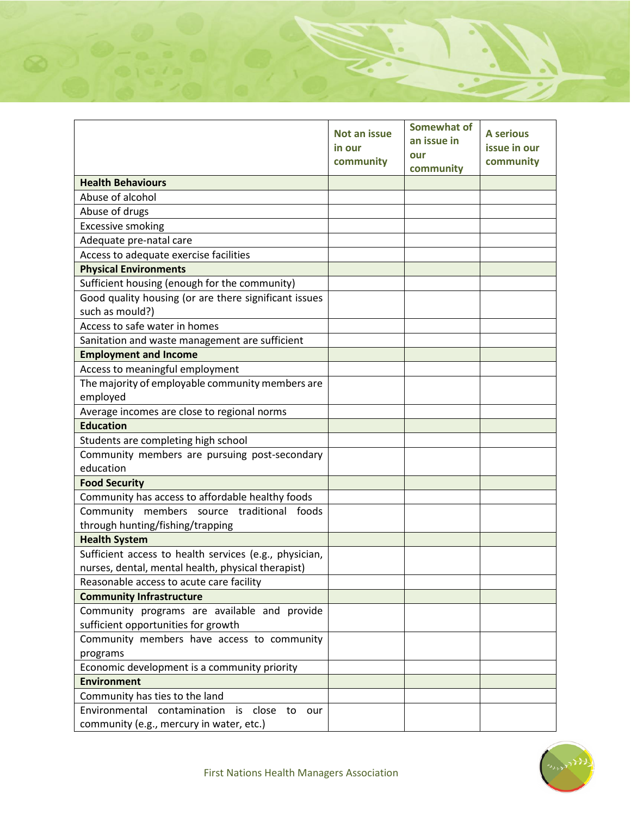|                                                        | <b>Not an issue</b><br>in our<br>community | <b>Somewhat of</b><br>an issue in<br>our<br>community | <b>A</b> serious<br>issue in our<br>community |
|--------------------------------------------------------|--------------------------------------------|-------------------------------------------------------|-----------------------------------------------|
| <b>Health Behaviours</b>                               |                                            |                                                       |                                               |
| Abuse of alcohol                                       |                                            |                                                       |                                               |
| Abuse of drugs                                         |                                            |                                                       |                                               |
| <b>Excessive smoking</b>                               |                                            |                                                       |                                               |
| Adequate pre-natal care                                |                                            |                                                       |                                               |
| Access to adequate exercise facilities                 |                                            |                                                       |                                               |
| <b>Physical Environments</b>                           |                                            |                                                       |                                               |
| Sufficient housing (enough for the community)          |                                            |                                                       |                                               |
| Good quality housing (or are there significant issues  |                                            |                                                       |                                               |
| such as mould?)                                        |                                            |                                                       |                                               |
| Access to safe water in homes                          |                                            |                                                       |                                               |
| Sanitation and waste management are sufficient         |                                            |                                                       |                                               |
| <b>Employment and Income</b>                           |                                            |                                                       |                                               |
| Access to meaningful employment                        |                                            |                                                       |                                               |
| The majority of employable community members are       |                                            |                                                       |                                               |
| employed                                               |                                            |                                                       |                                               |
| Average incomes are close to regional norms            |                                            |                                                       |                                               |
| <b>Education</b>                                       |                                            |                                                       |                                               |
| Students are completing high school                    |                                            |                                                       |                                               |
| Community members are pursuing post-secondary          |                                            |                                                       |                                               |
| education                                              |                                            |                                                       |                                               |
| <b>Food Security</b>                                   |                                            |                                                       |                                               |
| Community has access to affordable healthy foods       |                                            |                                                       |                                               |
| Community members source traditional foods             |                                            |                                                       |                                               |
| through hunting/fishing/trapping                       |                                            |                                                       |                                               |
| <b>Health System</b>                                   |                                            |                                                       |                                               |
| Sufficient access to health services (e.g., physician, |                                            |                                                       |                                               |
| nurses, dental, mental health, physical therapist)     |                                            |                                                       |                                               |
| Reasonable access to acute care facility               |                                            |                                                       |                                               |
| <b>Community Infrastructure</b>                        |                                            |                                                       |                                               |
| Community programs are available and provide           |                                            |                                                       |                                               |
| sufficient opportunities for growth                    |                                            |                                                       |                                               |
| Community members have access to community             |                                            |                                                       |                                               |
| programs                                               |                                            |                                                       |                                               |
| Economic development is a community priority           |                                            |                                                       |                                               |
| <b>Environment</b>                                     |                                            |                                                       |                                               |
| Community has ties to the land                         |                                            |                                                       |                                               |
| Environmental contamination<br>is close to our         |                                            |                                                       |                                               |
| community (e.g., mercury in water, etc.)               |                                            |                                                       |                                               |